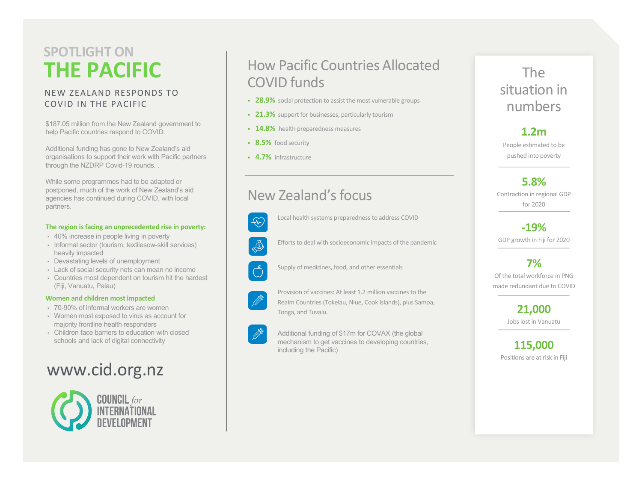# **THE PACIFIC SPOTLIGHT ON**

#### NEW ZEALAND RESPONDS TO COVID IN THE PACIFIC

\$187.05 million from the New Zealand government to help Pacific countries respond to COVID.

Additional funding has gone to New Zealand's aid organisations to support their work with Pacific partners through the NZDRP Covid-19 rounds. .

While some programmes had to be adapted or postponed, much of the work of New Zealand's aid agencies has continued during COVID, with local partners.

#### **The region is facing an unprecedented rise in poverty:**

- 40% increase in people living in poverty
- Informal sector (tourism, textilesow-skill services) heavily impacted
- Devastating levels of unemployment
- Lack of social security nets can mean no income
- Countries most dependent on tourism hit the hardest (Fiji, Vanuatu, Palau)

#### **Women and children most impacted**

- 70-90% of informal workers are women
- Women most exposed to virus as account for majority frontline health responders
- Children face barriers to education with closed schools and lack of digital connectivity

# www.cid.org.nz



## How Pacific Countries Allocated COVID funds

- **28.9%** social protection to assist the most vulnerable groups
- **21.3%** support for businesses, particularly tourism
- **14.8%** health preparedness measures
- **8.5%** food security
- **4.7%** infrastructure

## New Zealand's focus



Local health systems preparedness to address COVID

Efforts to deal with socioeconomic impacts of the pandemic B

Supply of medicines, food, and other essentials



 $\bigodot^2$ 

Provision of vaccines: At least 1.2 million vaccines to the Realm Countries (Tokelau, Niue, Cook Islands), plus Samoa, Tonga, and Tuvalu.



Additional funding of \$17m for COVAX (the global mechanism to get vaccines to developing countries, including the Pacific)

### The situation in numbers

#### **1.2m**

People estimated to be pushed into poverty

**5.8%**  Contraction in regional GDP for 2020

**-19%** GDP growth in Fiji for 2020

**7%** Of the total workforce in PNG made redundant due to COVID

> **21,000**  Jobs lost in Vanuatu

**115,000**  Positions are at risk in Fiji